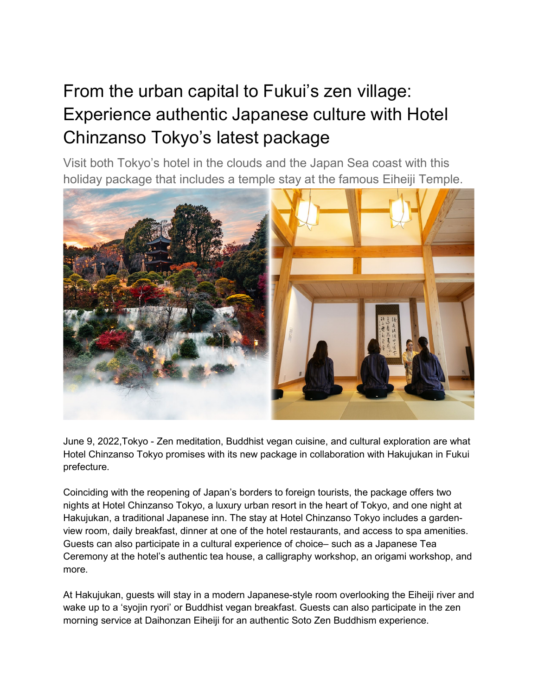## From the urban capital to Fukui's zen village: Experience authentic Japanese culture with Hotel Chinzanso Tokyo's latest package

Visit both Tokyo's hotel in the clouds and the Japan Sea coast with this holiday package that includes a temple stay at the famous Eiheiji Temple.



June 9, 2022,Tokyo - Zen meditation, Buddhist vegan cuisine, and cultural exploration are what Hotel Chinzanso Tokyo promises with its new package in collaboration with Hakujukan in Fukui prefecture.

Coinciding with the reopening of Japan's borders to foreign tourists, the package offers two nights at Hotel Chinzanso Tokyo, a luxury urban resort in the heart of Tokyo, and one night at Hakujukan, a traditional Japanese inn. The stay at Hotel Chinzanso Tokyo includes a gardenview room, daily breakfast, dinner at one of the hotel restaurants, and access to spa amenities. Guests can also participate in a cultural experience of choice– such as a Japanese Tea Ceremony at the hotel's authentic tea house, a calligraphy workshop, an origami workshop, and more.

At Hakujukan, guests will stay in a modern Japanese-style room overlooking the Eiheiji river and wake up to a 'syojin ryori' or Buddhist vegan breakfast. Guests can also participate in the zen morning service at Daihonzan Eiheiji for an authentic Soto Zen Buddhism experience.